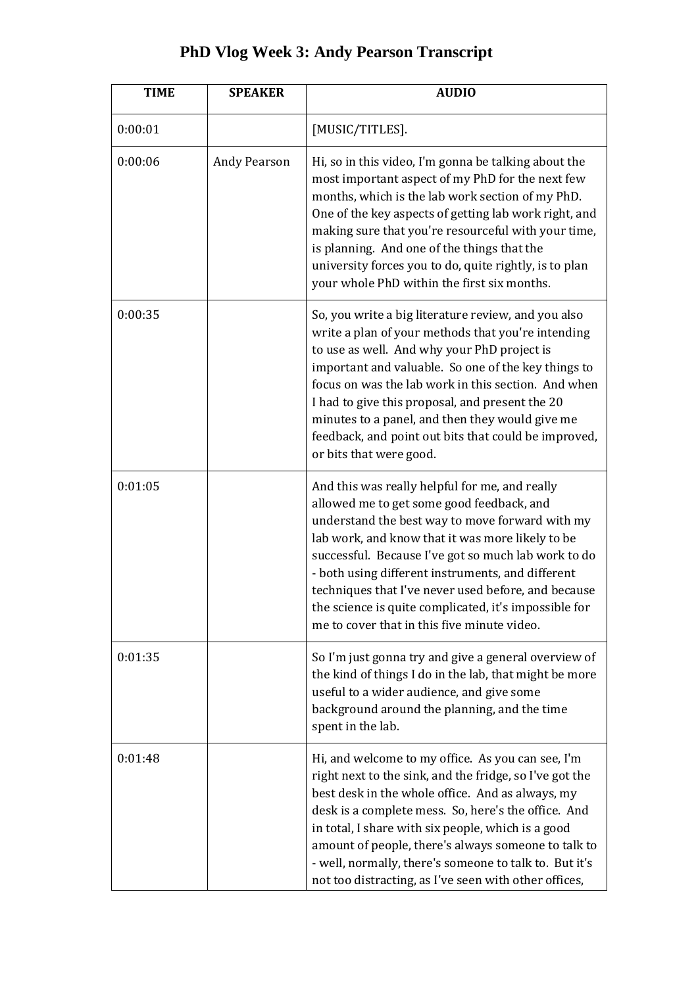## **PhD Vlog Week 3: Andy Pearson Transcript**

| <b>TIME</b> | <b>SPEAKER</b>      | <b>AUDIO</b>                                                                                                                                                                                                                                                                                                                                                                                                                                                                  |
|-------------|---------------------|-------------------------------------------------------------------------------------------------------------------------------------------------------------------------------------------------------------------------------------------------------------------------------------------------------------------------------------------------------------------------------------------------------------------------------------------------------------------------------|
| 0:00:01     |                     | [MUSIC/TITLES].                                                                                                                                                                                                                                                                                                                                                                                                                                                               |
| 0:00:06     | <b>Andy Pearson</b> | Hi, so in this video, I'm gonna be talking about the<br>most important aspect of my PhD for the next few<br>months, which is the lab work section of my PhD.<br>One of the key aspects of getting lab work right, and<br>making sure that you're resourceful with your time,<br>is planning. And one of the things that the<br>university forces you to do, quite rightly, is to plan<br>your whole PhD within the first six months.                                          |
| 0:00:35     |                     | So, you write a big literature review, and you also<br>write a plan of your methods that you're intending<br>to use as well. And why your PhD project is<br>important and valuable. So one of the key things to<br>focus on was the lab work in this section. And when<br>I had to give this proposal, and present the 20<br>minutes to a panel, and then they would give me<br>feedback, and point out bits that could be improved,<br>or bits that were good.               |
| 0:01:05     |                     | And this was really helpful for me, and really<br>allowed me to get some good feedback, and<br>understand the best way to move forward with my<br>lab work, and know that it was more likely to be<br>successful. Because I've got so much lab work to do<br>- both using different instruments, and different<br>techniques that I've never used before, and because<br>the science is quite complicated, it's impossible for<br>me to cover that in this five minute video. |
| 0:01:35     |                     | So I'm just gonna try and give a general overview of<br>the kind of things I do in the lab, that might be more<br>useful to a wider audience, and give some<br>background around the planning, and the time<br>spent in the lab.                                                                                                                                                                                                                                              |
| 0:01:48     |                     | Hi, and welcome to my office. As you can see, I'm<br>right next to the sink, and the fridge, so I've got the<br>best desk in the whole office. And as always, my<br>desk is a complete mess. So, here's the office. And<br>in total, I share with six people, which is a good<br>amount of people, there's always someone to talk to<br>- well, normally, there's someone to talk to. But it's<br>not too distracting, as I've seen with other offices,                       |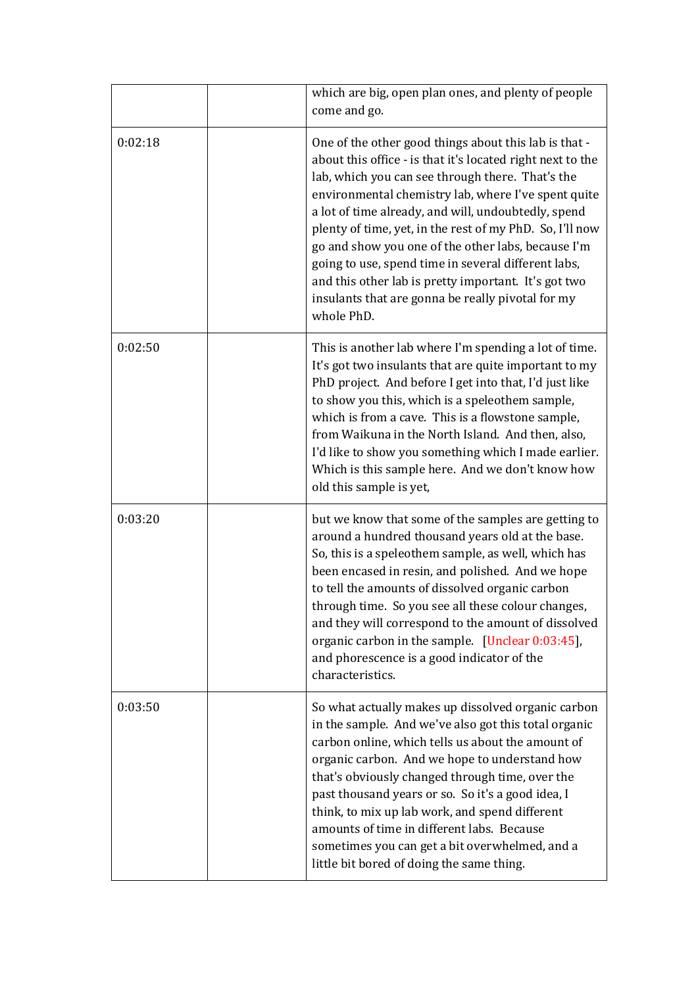|         | which are big, open plan ones, and plenty of people<br>come and go.                                                                                                                                                                                                                                                                                                                                                                                                                                                                                                                       |
|---------|-------------------------------------------------------------------------------------------------------------------------------------------------------------------------------------------------------------------------------------------------------------------------------------------------------------------------------------------------------------------------------------------------------------------------------------------------------------------------------------------------------------------------------------------------------------------------------------------|
| 0:02:18 | One of the other good things about this lab is that -<br>about this office - is that it's located right next to the<br>lab, which you can see through there. That's the<br>environmental chemistry lab, where I've spent quite<br>a lot of time already, and will, undoubtedly, spend<br>plenty of time, yet, in the rest of my PhD. So, I'll now<br>go and show you one of the other labs, because I'm<br>going to use, spend time in several different labs,<br>and this other lab is pretty important. It's got two<br>insulants that are gonna be really pivotal for my<br>whole PhD. |
| 0:02:50 | This is another lab where I'm spending a lot of time.<br>It's got two insulants that are quite important to my<br>PhD project. And before I get into that, I'd just like<br>to show you this, which is a speleothem sample,<br>which is from a cave. This is a flowstone sample,<br>from Waikuna in the North Island. And then, also,<br>I'd like to show you something which I made earlier.<br>Which is this sample here. And we don't know how<br>old this sample is yet,                                                                                                              |
| 0:03:20 | but we know that some of the samples are getting to<br>around a hundred thousand years old at the base.<br>So, this is a speleothem sample, as well, which has<br>been encased in resin, and polished. And we hope<br>to tell the amounts of dissolved organic carbon<br>through time. So you see all these colour changes,<br>and they will correspond to the amount of dissolved<br>organic carbon in the sample. [Unclear 0:03:45],<br>and phorescence is a good indicator of the<br>characteristics.                                                                                  |
| 0:03:50 | So what actually makes up dissolved organic carbon<br>in the sample. And we've also got this total organic<br>carbon online, which tells us about the amount of<br>organic carbon. And we hope to understand how<br>that's obviously changed through time, over the<br>past thousand years or so. So it's a good idea, I<br>think, to mix up lab work, and spend different<br>amounts of time in different labs. Because<br>sometimes you can get a bit overwhelmed, and a<br>little bit bored of doing the same thing.                                                                   |